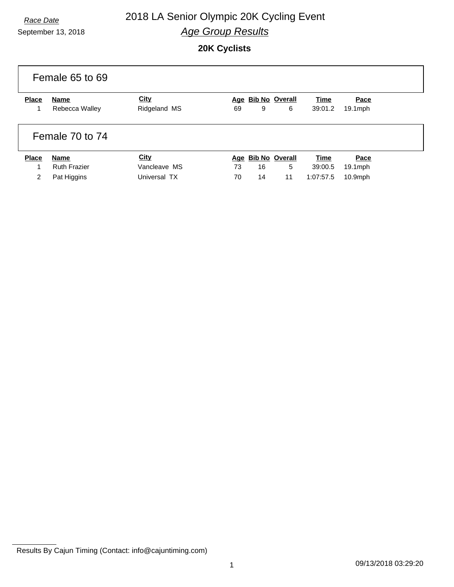# September 13, 2018

## *Race Date* 2018 LA Senior Olympic 20K Cycling Event *Age Group Results*

#### **20K Cyclists**

|              | Female 65 to 69     |              |    |    |                    |             |            |
|--------------|---------------------|--------------|----|----|--------------------|-------------|------------|
| <b>Place</b> | <b>Name</b>         | <b>City</b>  |    |    | Age Bib No Overall | <b>Time</b> | Pace       |
|              | Rebecca Walley      | Ridgeland MS | 69 | 9  | 6                  | 39:01.2     | $19.1$ mph |
|              | Female 70 to 74     |              |    |    |                    |             |            |
| <b>Place</b> | <b>Name</b>         | <b>City</b>  |    |    | Age Bib No Overall | Time        | Pace       |
| 1            | <b>Ruth Frazier</b> | Vancleave MS | 73 | 16 | 5                  | 39:00.5     | $19.1$ mph |
| 2            | Pat Higgins         | Universal TX | 70 | 14 | 11                 | 1:07:57.5   | $10.9$ mph |

Results By Cajun Timing (Contact: info@cajuntiming.com)